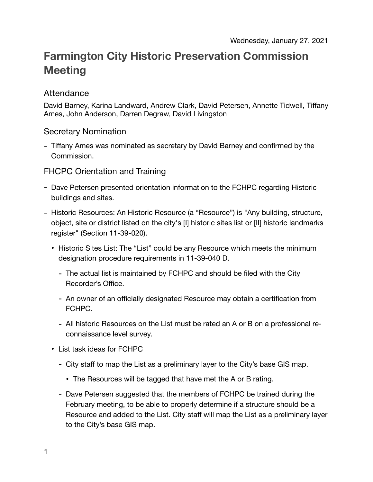# **Farmington City Historic Preservation Commission Meeting**

# Attendance

David Barney, Karina Landward, Andrew Clark, David Petersen, Annette Tidwell, Tiffany Ames, John Anderson, Darren Degraw, David Livingston

#### Secretary Nomination

- Tiffany Ames was nominated as secretary by David Barney and confirmed by the Commission.

# FHCPC Orientation and Training

- Dave Petersen presented orientation information to the FCHPC regarding Historic buildings and sites.
- Historic Resources: An Historic Resource (a "Resource") is "Any building, structure, object, site or district listed on the city's [I] historic sites list or [II] historic landmarks register" (Section 11-39-020).
	- Historic Sites List: The "List" could be any Resource which meets the minimum designation procedure requirements in 11-39-040 D.
		- The actual list is maintained by FCHPC and should be filed with the City Recorder's Office.
		- An owner of an officially designated Resource may obtain a certification from FCHPC.
		- All historic Resources on the List must be rated an A or B on a professional reconnaissance level survey.
	- List task ideas for FCHPC
		- City staff to map the List as a preliminary layer to the City's base GIS map.
			- The Resources will be tagged that have met the A or B rating.
		- Dave Petersen suggested that the members of FCHPC be trained during the February meeting, to be able to properly determine if a structure should be a Resource and added to the List. City staff will map the List as a preliminary layer to the City's base GIS map.